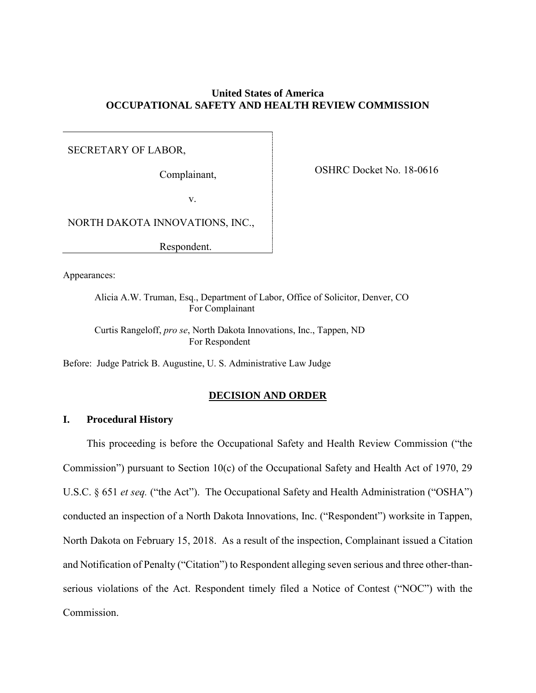# **United States of America OCCUPATIONAL SAFETY AND HEALTH REVIEW COMMISSION**

# SECRETARY OF LABOR,

Complainant,

OSHRC Docket No. 18-0616

v.

NORTH DAKOTA INNOVATIONS, INC.,

Respondent.

Appearances:

Alicia A.W. Truman, Esq., Department of Labor, Office of Solicitor, Denver, CO For Complainant

Curtis Rangeloff, *pro se*, North Dakota Innovations, Inc., Tappen, ND For Respondent

Before: Judge Patrick B. Augustine, U. S. Administrative Law Judge

# **DECISION AND ORDER**

# **I. Procedural History**

This proceeding is before the Occupational Safety and Health Review Commission ("the Commission") pursuant to Section 10(c) of the Occupational Safety and Health Act of 1970, 29 U.S.C. § 651 *et seq.* ("the Act"). The Occupational Safety and Health Administration ("OSHA") conducted an inspection of a North Dakota Innovations, Inc. ("Respondent") worksite in Tappen, North Dakota on February 15, 2018. As a result of the inspection, Complainant issued a Citation and Notification of Penalty ("Citation") to Respondent alleging seven serious and three other-thanserious violations of the Act. Respondent timely filed a Notice of Contest ("NOC") with the Commission.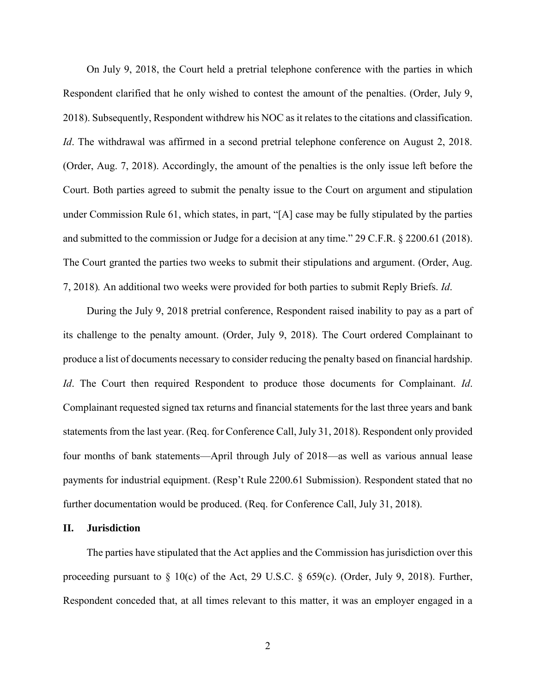On July 9, 2018, the Court held a pretrial telephone conference with the parties in which Respondent clarified that he only wished to contest the amount of the penalties. (Order, July 9, 2018). Subsequently, Respondent withdrew his NOC as it relates to the citations and classification. *Id*. The withdrawal was affirmed in a second pretrial telephone conference on August 2, 2018. (Order, Aug. 7, 2018). Accordingly, the amount of the penalties is the only issue left before the Court. Both parties agreed to submit the penalty issue to the Court on argument and stipulation under Commission Rule 61, which states, in part, "[A] case may be fully stipulated by the parties and submitted to the commission or Judge for a decision at any time." 29 C.F.R. § 2200.61 (2018). The Court granted the parties two weeks to submit their stipulations and argument. (Order, Aug. 7, 2018)*.* An additional two weeks were provided for both parties to submit Reply Briefs. *Id*.

During the July 9, 2018 pretrial conference, Respondent raised inability to pay as a part of its challenge to the penalty amount. (Order, July 9, 2018). The Court ordered Complainant to produce a list of documents necessary to consider reducing the penalty based on financial hardship. *Id*. The Court then required Respondent to produce those documents for Complainant. *Id*. Complainant requested signed tax returns and financial statements for the last three years and bank statements from the last year. (Req. for Conference Call, July 31, 2018). Respondent only provided four months of bank statements—April through July of 2018—as well as various annual lease payments for industrial equipment. (Resp't Rule 2200.61 Submission). Respondent stated that no further documentation would be produced. (Req. for Conference Call, July 31, 2018).

# **II. Jurisdiction**

The parties have stipulated that the Act applies and the Commission has jurisdiction over this proceeding pursuant to § 10(c) of the Act, 29 U.S.C. § 659(c). (Order, July 9, 2018). Further, Respondent conceded that, at all times relevant to this matter, it was an employer engaged in a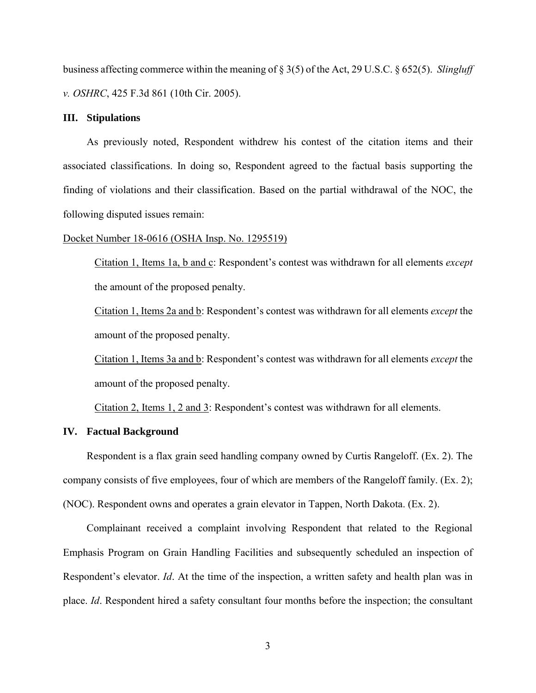business affecting commerce within the meaning of § 3(5) of the Act, 29 U.S.C. § 652(5). *Slingluff v. OSHRC*, 425 F.3d 861 (10th Cir. 2005).

# **III. Stipulations**

As previously noted, Respondent withdrew his contest of the citation items and their associated classifications. In doing so, Respondent agreed to the factual basis supporting the finding of violations and their classification. Based on the partial withdrawal of the NOC, the following disputed issues remain:

### Docket Number 18-0616 (OSHA Insp. No. 1295519)

Citation 1, Items 1a, b and c: Respondent's contest was withdrawn for all elements *except* the amount of the proposed penalty.

Citation 1, Items 2a and b: Respondent's contest was withdrawn for all elements *except* the amount of the proposed penalty.

Citation 1, Items 3a and b: Respondent's contest was withdrawn for all elements *except* the amount of the proposed penalty.

Citation 2, Items 1, 2 and 3: Respondent's contest was withdrawn for all elements.

# **IV. Factual Background**

Respondent is a flax grain seed handling company owned by Curtis Rangeloff. (Ex. 2). The company consists of five employees, four of which are members of the Rangeloff family. (Ex. 2); (NOC). Respondent owns and operates a grain elevator in Tappen, North Dakota. (Ex. 2).

Complainant received a complaint involving Respondent that related to the Regional Emphasis Program on Grain Handling Facilities and subsequently scheduled an inspection of Respondent's elevator. *Id*. At the time of the inspection, a written safety and health plan was in place. *Id*. Respondent hired a safety consultant four months before the inspection; the consultant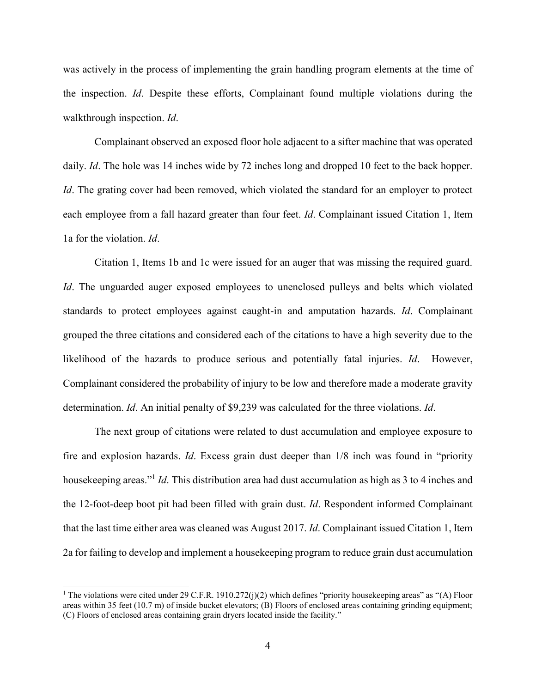was actively in the process of implementing the grain handling program elements at the time of the inspection. *Id*. Despite these efforts, Complainant found multiple violations during the walkthrough inspection. *Id*.

Complainant observed an exposed floor hole adjacent to a sifter machine that was operated daily. *Id*. The hole was 14 inches wide by 72 inches long and dropped 10 feet to the back hopper. *Id*. The grating cover had been removed, which violated the standard for an employer to protect each employee from a fall hazard greater than four feet. *Id*. Complainant issued Citation 1, Item 1a for the violation. *Id*.

Citation 1, Items 1b and 1c were issued for an auger that was missing the required guard. *Id*. The unguarded auger exposed employees to unenclosed pulleys and belts which violated standards to protect employees against caught-in and amputation hazards. *Id*. Complainant grouped the three citations and considered each of the citations to have a high severity due to the likelihood of the hazards to produce serious and potentially fatal injuries. *Id*. However, Complainant considered the probability of injury to be low and therefore made a moderate gravity determination. *Id*. An initial penalty of \$9,239 was calculated for the three violations. *Id*.

The next group of citations were related to dust accumulation and employee exposure to fire and explosion hazards. *Id*. Excess grain dust deeper than 1/8 inch was found in "priority housekeeping areas." 1 *Id*. This distribution area had dust accumulation as high as 3 to 4 inches and the 12-foot-deep boot pit had been filled with grain dust. *Id*. Respondent informed Complainant that the last time either area was cleaned was August 2017. *Id*. Complainant issued Citation 1, Item 2a for failing to develop and implement a housekeeping program to reduce grain dust accumulation

 $\overline{a}$ 

<sup>&</sup>lt;sup>1</sup> The violations were cited under 29 C.F.R. 1910.272(j)(2) which defines "priority housekeeping areas" as "(A) Floor areas within 35 feet (10.7 m) of inside bucket elevators; (B) Floors of enclosed areas containing grinding equipment; (C) Floors of enclosed areas containing grain dryers located inside the facility."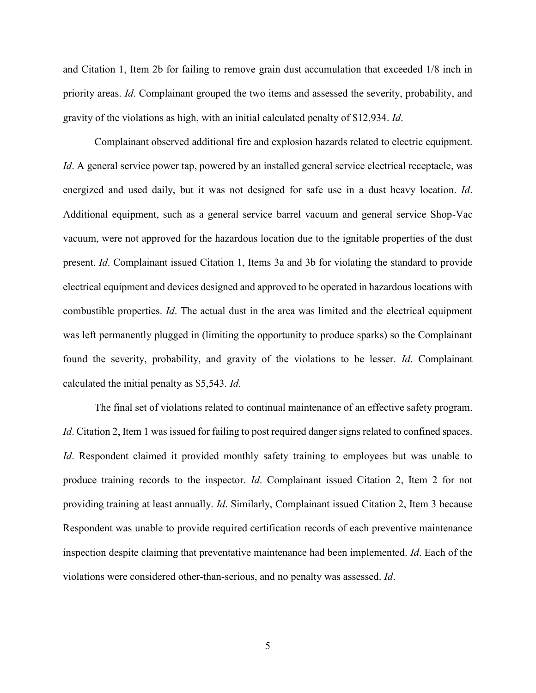and Citation 1, Item 2b for failing to remove grain dust accumulation that exceeded 1/8 inch in priority areas. *Id*. Complainant grouped the two items and assessed the severity, probability, and gravity of the violations as high, with an initial calculated penalty of \$12,934. *Id*.

Complainant observed additional fire and explosion hazards related to electric equipment. *Id*. A general service power tap, powered by an installed general service electrical receptacle, was energized and used daily, but it was not designed for safe use in a dust heavy location. *Id*. Additional equipment, such as a general service barrel vacuum and general service Shop-Vac vacuum, were not approved for the hazardous location due to the ignitable properties of the dust present. *Id*. Complainant issued Citation 1, Items 3a and 3b for violating the standard to provide electrical equipment and devices designed and approved to be operated in hazardous locations with combustible properties. *Id*. The actual dust in the area was limited and the electrical equipment was left permanently plugged in (limiting the opportunity to produce sparks) so the Complainant found the severity, probability, and gravity of the violations to be lesser. *Id*. Complainant calculated the initial penalty as \$5,543. *Id*.

The final set of violations related to continual maintenance of an effective safety program. *Id*. Citation 2, Item 1 was issued for failing to post required danger signs related to confined spaces. *Id*. Respondent claimed it provided monthly safety training to employees but was unable to produce training records to the inspector. *Id*. Complainant issued Citation 2, Item 2 for not providing training at least annually. *Id*. Similarly, Complainant issued Citation 2, Item 3 because Respondent was unable to provide required certification records of each preventive maintenance inspection despite claiming that preventative maintenance had been implemented. *Id*. Each of the violations were considered other-than-serious, and no penalty was assessed. *Id*.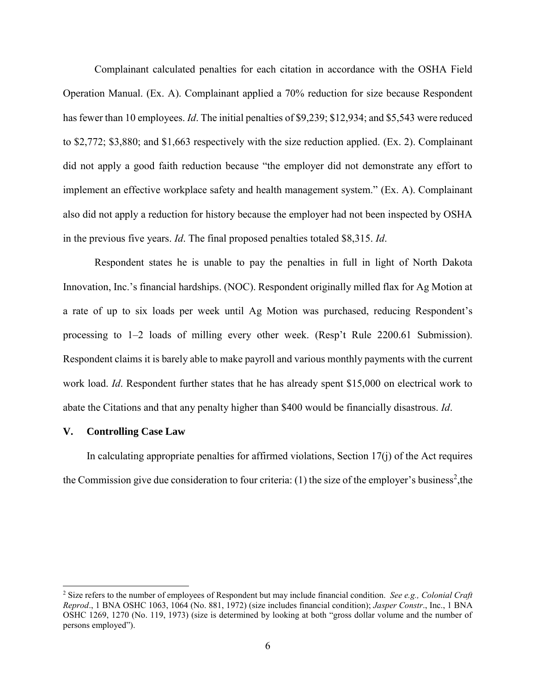Complainant calculated penalties for each citation in accordance with the OSHA Field Operation Manual. (Ex. A). Complainant applied a 70% reduction for size because Respondent has fewer than 10 employees. *Id*. The initial penalties of \$9,239; \$12,934; and \$5,543 were reduced to \$2,772; \$3,880; and \$1,663 respectively with the size reduction applied. (Ex. 2). Complainant did not apply a good faith reduction because "the employer did not demonstrate any effort to implement an effective workplace safety and health management system." (Ex. A). Complainant also did not apply a reduction for history because the employer had not been inspected by OSHA in the previous five years. *Id*. The final proposed penalties totaled \$8,315. *Id*.

Respondent states he is unable to pay the penalties in full in light of North Dakota Innovation, Inc.'s financial hardships. (NOC). Respondent originally milled flax for Ag Motion at a rate of up to six loads per week until Ag Motion was purchased, reducing Respondent's processing to 1–2 loads of milling every other week. (Resp't Rule 2200.61 Submission). Respondent claims it is barely able to make payroll and various monthly payments with the current work load. *Id*. Respondent further states that he has already spent \$15,000 on electrical work to abate the Citations and that any penalty higher than \$400 would be financially disastrous. *Id*.

# **V. Controlling Case Law**

 $\overline{a}$ 

In calculating appropriate penalties for affirmed violations, Section  $17(i)$  of the Act requires the Commission give due consideration to four criteria:  $(1)$  the size of the employer's business<sup>2</sup>, the

<sup>2</sup> Size refers to the number of employees of Respondent but may include financial condition. *See e.g., Colonial Craft Reprod*., 1 BNA OSHC 1063, 1064 (No. 881, 1972) (size includes financial condition); *Jasper Constr*., Inc., 1 BNA OSHC 1269, 1270 (No. 119, 1973) (size is determined by looking at both "gross dollar volume and the number of persons employed").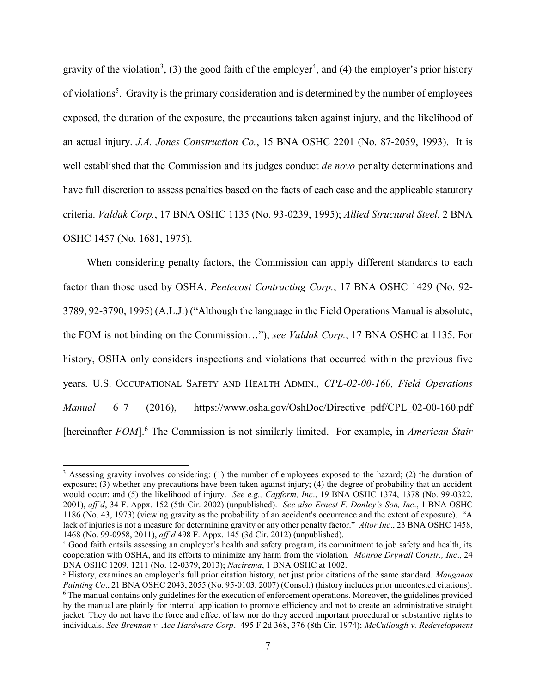gravity of the violation<sup>3</sup>, (3) the good faith of the employer<sup>4</sup>, and (4) the employer's prior history of violations<sup>5</sup>. Gravity is the primary consideration and is determined by the number of employees exposed, the duration of the exposure, the precautions taken against injury, and the likelihood of an actual injury. *J.A. Jones Construction Co.*, 15 BNA OSHC 2201 (No. 87-2059, 1993). It is well established that the Commission and its judges conduct *de novo* penalty determinations and have full discretion to assess penalties based on the facts of each case and the applicable statutory criteria. *Valdak Corp.*, 17 BNA OSHC 1135 (No. 93-0239, 1995); *Allied Structural Steel*, 2 BNA OSHC 1457 (No. 1681, 1975).

When considering penalty factors, the Commission can apply different standards to each factor than those used by OSHA. *Pentecost Contracting Corp.*, 17 BNA OSHC 1429 (No. 92- 3789, 92-3790, 1995) (A.L.J.) ("Although the language in the Field Operations Manual is absolute, the FOM is not binding on the Commission…"); *see Valdak Corp.*, 17 BNA OSHC at 1135. For history, OSHA only considers inspections and violations that occurred within the previous five years. U.S. OCCUPATIONAL SAFETY AND HEALTH ADMIN., *CPL-02-00-160, Field Operations Manual* 6–7 (2016), https://www.osha.gov/OshDoc/Directive\_pdf/CPL\_02-00-160.pdf [hereinafter *FOM*]. <sup>6</sup> The Commission is not similarly limited. For example, in *American Stair* 

 $\overline{a}$ 

<sup>&</sup>lt;sup>3</sup> Assessing gravity involves considering: (1) the number of employees exposed to the hazard; (2) the duration of exposure; (3) whether any precautions have been taken against injury; (4) the degree of probability that an accident would occur; and (5) the likelihood of injury. *See e.g., Capform, Inc*., 19 BNA OSHC 1374, 1378 (No. 99-0322, 2001), *aff'd*, 34 F. Appx. 152 (5th Cir. 2002) (unpublished). *See also Ernest F. Donley's Son, Inc*., 1 BNA OSHC 1186 (No. 43, 1973) (viewing gravity as the probability of an accident's occurrence and the extent of exposure). "A lack of injuries is not a measure for determining gravity or any other penalty factor." *Altor Inc*., 23 BNA OSHC 1458, 1468 (No. 99-0958, 2011), *aff'd* 498 F. Appx. 145 (3d Cir. 2012) (unpublished).

<sup>4</sup> Good faith entails assessing an employer's health and safety program, its commitment to job safety and health, its cooperation with OSHA, and its efforts to minimize any harm from the violation. *Monroe Drywall Constr., Inc*., 24 BNA OSHC 1209, 1211 (No. 12-0379, 2013); *Nacirema*, 1 BNA OSHC at 1002.

<sup>5</sup> History, examines an employer's full prior citation history, not just prior citations of the same standard. *Manganas Painting Co*., 21 BNA OSHC 2043, 2055 (No. 95-0103, 2007) (Consol.) (history includes prior uncontested citations). <sup>6</sup> The manual contains only guidelines for the execution of enforcement operations. Moreover, the guidelines provided by the manual are plainly for internal application to promote efficiency and not to create an administrative straight jacket. They do not have the force and effect of law nor do they accord important procedural or substantive rights to individuals. *See Brennan v. Ace Hardware Corp*. 495 F.2d 368, 376 (8th Cir. 1974); *McCullough v. Redevelopment*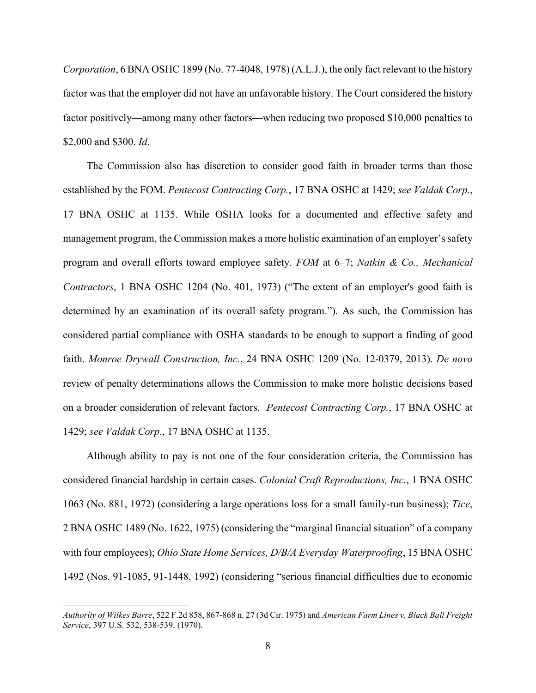*Corporation*, 6 BNA OSHC 1899 (No. 77-4048, 1978) (A.L.J.), the only fact relevant to the history factor was that the employer did not have an unfavorable history. The Court considered the history factor positively—among many other factors—when reducing two proposed \$10,000 penalties to \$2,000 and \$300. *Id*.

The Commission also has discretion to consider good faith in broader terms than those established by the FOM. *Pentecost Contracting Corp.*, 17 BNA OSHC at 1429; *see Valdak Corp.*, 17 BNA OSHC at 1135. While OSHA looks for a documented and effective safety and management program, the Commission makes a more holistic examination of an employer's safety program and overall efforts toward employee safety. *FOM* at 6–7; *Natkin & Co., Mechanical Contractors*, 1 BNA OSHC 1204 (No. 401, 1973) ("The extent of an employer's good faith is determined by an examination of its overall safety program."). As such, the Commission has considered partial compliance with OSHA standards to be enough to support a finding of good faith. *Monroe Drywall Construction, Inc.*, 24 BNA OSHC 1209 (No. 12-0379, 2013). *De novo* review of penalty determinations allows the Commission to make more holistic decisions based on a broader consideration of relevant factors. *Pentecost Contracting Corp.*, 17 BNA OSHC at 1429; *see Valdak Corp.*, 17 BNA OSHC at 1135.

Although ability to pay is not one of the four consideration criteria, the Commission has considered financial hardship in certain cases. *Colonial Craft Reproductions, Inc.*, 1 BNA OSHC 1063 (No. 881, 1972) (considering a large operations loss for a small family-run business); *Tice*, 2 BNA OSHC 1489 (No. 1622, 1975) (considering the "marginal financial situation" of a company with four employees); *Ohio State Home Services, D/B/A Everyday Waterproofing*, 15 BNA OSHC 1492 (Nos. 91-1085, 91-1448, 1992) (considering "serious financial difficulties due to economic

 $\overline{a}$ 

*Authority of Wilkes Barre*, 522 F.2d 858, 867-868 n. 27 (3d Cir. 1975) and *American Farm Lines v. Black Ball Freight Service*, 397 U.S. 532, 538-539. (1970).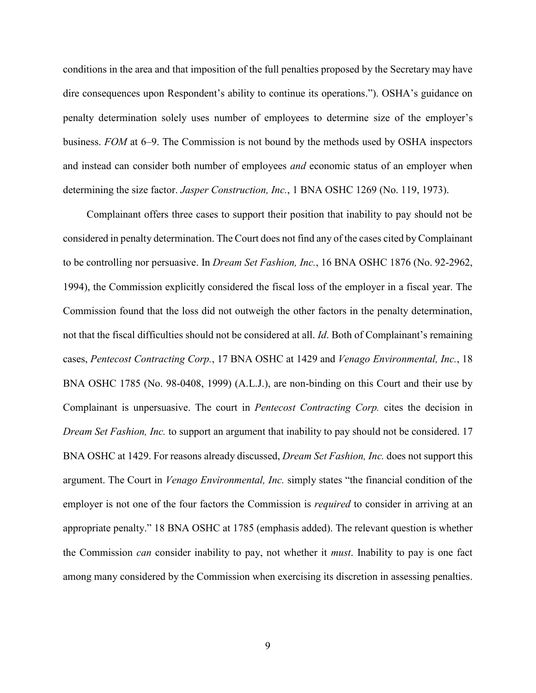conditions in the area and that imposition of the full penalties proposed by the Secretary may have dire consequences upon Respondent's ability to continue its operations."). OSHA's guidance on penalty determination solely uses number of employees to determine size of the employer's business. *FOM* at 6–9. The Commission is not bound by the methods used by OSHA inspectors and instead can consider both number of employees *and* economic status of an employer when determining the size factor. *Jasper Construction, Inc.*, 1 BNA OSHC 1269 (No. 119, 1973).

Complainant offers three cases to support their position that inability to pay should not be considered in penalty determination. The Court does not find any of the cases cited by Complainant to be controlling nor persuasive. In *Dream Set Fashion, Inc.*, 16 BNA OSHC 1876 (No. 92-2962, 1994), the Commission explicitly considered the fiscal loss of the employer in a fiscal year. The Commission found that the loss did not outweigh the other factors in the penalty determination, not that the fiscal difficulties should not be considered at all. *Id*. Both of Complainant's remaining cases, *Pentecost Contracting Corp.*, 17 BNA OSHC at 1429 and *Venago Environmental, Inc.*, 18 BNA OSHC 1785 (No. 98-0408, 1999) (A.L.J.), are non-binding on this Court and their use by Complainant is unpersuasive. The court in *Pentecost Contracting Corp.* cites the decision in *Dream Set Fashion, Inc.* to support an argument that inability to pay should not be considered. 17 BNA OSHC at 1429. For reasons already discussed, *Dream Set Fashion, Inc.* does not support this argument. The Court in *Venago Environmental, Inc.* simply states "the financial condition of the employer is not one of the four factors the Commission is *required* to consider in arriving at an appropriate penalty." 18 BNA OSHC at 1785 (emphasis added). The relevant question is whether the Commission *can* consider inability to pay, not whether it *must*. Inability to pay is one fact among many considered by the Commission when exercising its discretion in assessing penalties.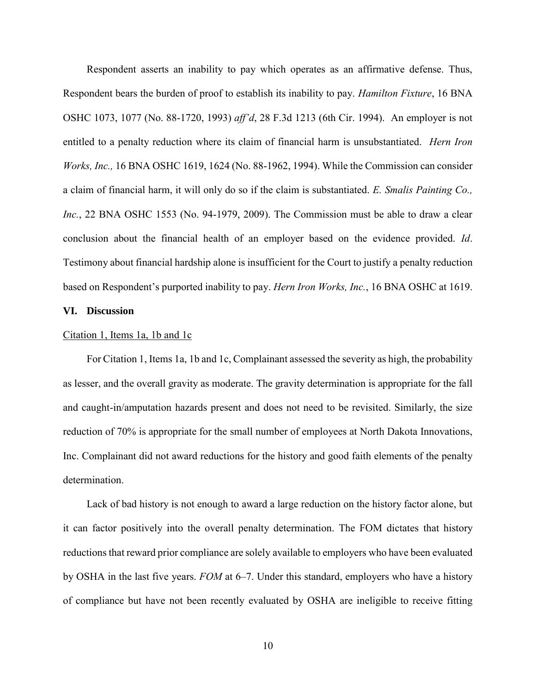Respondent asserts an inability to pay which operates as an affirmative defense. Thus, Respondent bears the burden of proof to establish its inability to pay. *Hamilton Fixture*, 16 BNA OSHC 1073, 1077 (No. 88-1720, 1993) *aff'd*, 28 F.3d 1213 (6th Cir. 1994). An employer is not entitled to a penalty reduction where its claim of financial harm is unsubstantiated. *Hern Iron Works, Inc.,* 16 BNA OSHC 1619, 1624 (No. 88-1962, 1994). While the Commission can consider a claim of financial harm, it will only do so if the claim is substantiated. *E. Smalis Painting Co., Inc.*, 22 BNA OSHC 1553 (No. 94-1979, 2009). The Commission must be able to draw a clear conclusion about the financial health of an employer based on the evidence provided. *Id*. Testimony about financial hardship alone is insufficient for the Court to justify a penalty reduction based on Respondent's purported inability to pay. *Hern Iron Works, Inc.*, 16 BNA OSHC at 1619.

## **VI. Discussion**

### Citation 1, Items 1a, 1b and 1c

For Citation 1, Items 1a, 1b and 1c, Complainant assessed the severity as high, the probability as lesser, and the overall gravity as moderate. The gravity determination is appropriate for the fall and caught-in/amputation hazards present and does not need to be revisited. Similarly, the size reduction of 70% is appropriate for the small number of employees at North Dakota Innovations, Inc. Complainant did not award reductions for the history and good faith elements of the penalty determination.

Lack of bad history is not enough to award a large reduction on the history factor alone, but it can factor positively into the overall penalty determination. The FOM dictates that history reductions that reward prior compliance are solely available to employers who have been evaluated by OSHA in the last five years. *FOM* at 6–7. Under this standard, employers who have a history of compliance but have not been recently evaluated by OSHA are ineligible to receive fitting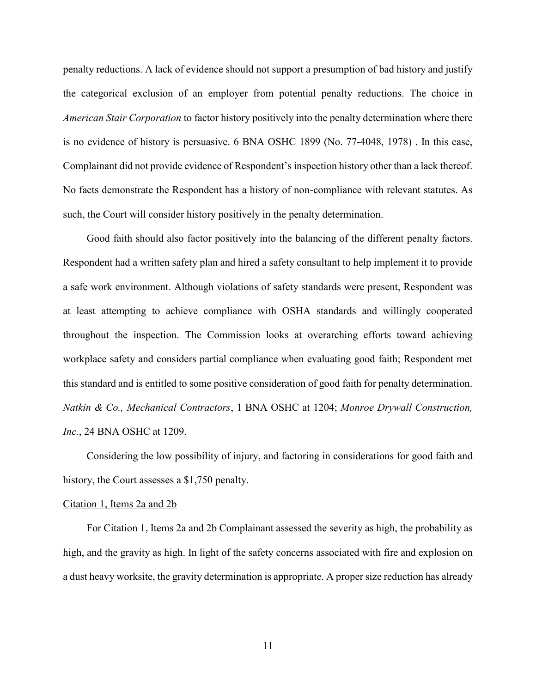penalty reductions. A lack of evidence should not support a presumption of bad history and justify the categorical exclusion of an employer from potential penalty reductions. The choice in *American Stair Corporation* to factor history positively into the penalty determination where there is no evidence of history is persuasive. 6 BNA OSHC 1899 (No. 77-4048, 1978) . In this case, Complainant did not provide evidence of Respondent's inspection history other than a lack thereof. No facts demonstrate the Respondent has a history of non-compliance with relevant statutes. As such, the Court will consider history positively in the penalty determination.

Good faith should also factor positively into the balancing of the different penalty factors. Respondent had a written safety plan and hired a safety consultant to help implement it to provide a safe work environment. Although violations of safety standards were present, Respondent was at least attempting to achieve compliance with OSHA standards and willingly cooperated throughout the inspection. The Commission looks at overarching efforts toward achieving workplace safety and considers partial compliance when evaluating good faith; Respondent met this standard and is entitled to some positive consideration of good faith for penalty determination. *Natkin & Co., Mechanical Contractors*, 1 BNA OSHC at 1204; *Monroe Drywall Construction, Inc.*, 24 BNA OSHC at 1209.

Considering the low possibility of injury, and factoring in considerations for good faith and history, the Court assesses a \$1,750 penalty.

### Citation 1, Items 2a and 2b

For Citation 1, Items 2a and 2b Complainant assessed the severity as high, the probability as high, and the gravity as high. In light of the safety concerns associated with fire and explosion on a dust heavy worksite, the gravity determination is appropriate. A proper size reduction has already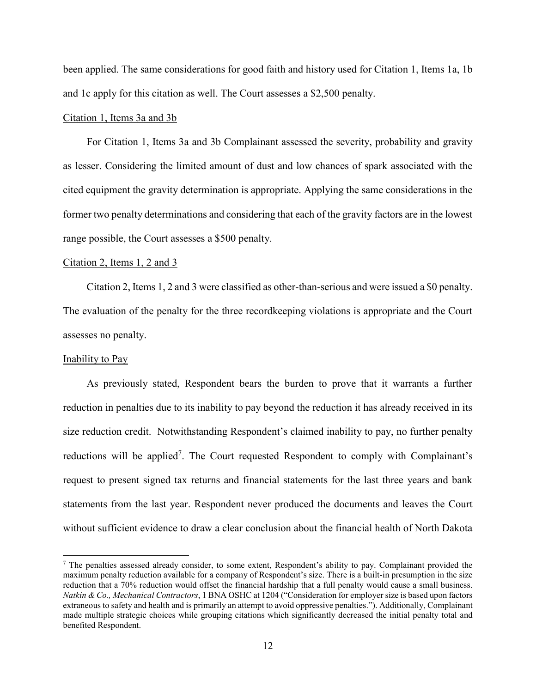been applied. The same considerations for good faith and history used for Citation 1, Items 1a, 1b and 1c apply for this citation as well. The Court assesses a \$2,500 penalty.

## Citation 1, Items 3a and 3b

For Citation 1, Items 3a and 3b Complainant assessed the severity, probability and gravity as lesser. Considering the limited amount of dust and low chances of spark associated with the cited equipment the gravity determination is appropriate. Applying the same considerations in the former two penalty determinations and considering that each of the gravity factors are in the lowest range possible, the Court assesses a \$500 penalty.

#### Citation 2, Items 1, 2 and 3

Citation 2, Items 1, 2 and 3 were classified as other-than-serious and were issued a \$0 penalty. The evaluation of the penalty for the three recordkeeping violations is appropriate and the Court assesses no penalty.

#### Inability to Pay

 $\overline{a}$ 

As previously stated, Respondent bears the burden to prove that it warrants a further reduction in penalties due to its inability to pay beyond the reduction it has already received in its size reduction credit. Notwithstanding Respondent's claimed inability to pay, no further penalty reductions will be applied<sup>7</sup>. The Court requested Respondent to comply with Complainant's request to present signed tax returns and financial statements for the last three years and bank statements from the last year. Respondent never produced the documents and leaves the Court without sufficient evidence to draw a clear conclusion about the financial health of North Dakota

 $<sup>7</sup>$  The penalties assessed already consider, to some extent, Respondent's ability to pay. Complainant provided the</sup> maximum penalty reduction available for a company of Respondent's size. There is a built-in presumption in the size reduction that a 70% reduction would offset the financial hardship that a full penalty would cause a small business. *Natkin & Co., Mechanical Contractors*, 1 BNA OSHC at 1204 ("Consideration for employer size is based upon factors extraneous to safety and health and is primarily an attempt to avoid oppressive penalties."). Additionally, Complainant made multiple strategic choices while grouping citations which significantly decreased the initial penalty total and benefited Respondent.